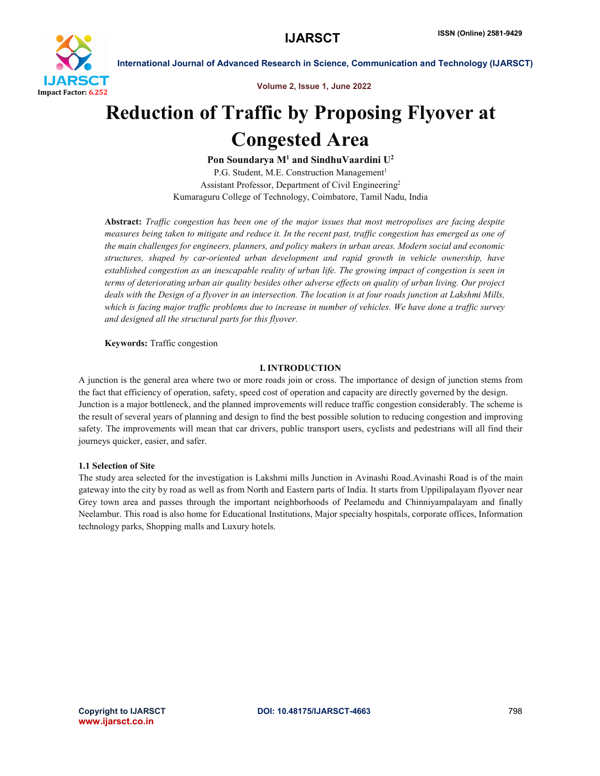

Volume 2, Issue 1, June 2022

# Reduction of Traffic by Proposing Flyover at Congested Area

Pon Soundarya  $M<sup>1</sup>$  and SindhuVaardini  $U<sup>2</sup>$ P.G. Student, M.E. Construction Management<sup>1</sup> Assistant Professor, Department of Civil Engineering2 Kumaraguru College of Technology, Coimbatore, Tamil Nadu, India

Abstract: *Traffic congestion has been one of the major issues that most metropolises are facing despite measures being taken to mitigate and reduce it. In the recent past, traffic congestion has emerged as one of the main challenges for engineers, planners, and policy makers in urban areas. Modern social and economic structures, shaped by car-oriented urban development and rapid growth in vehicle ownership, have established congestion as an inescapable reality of urban life. The growing impact of congestion is seen in terms of deteriorating urban air quality besides other adverse effects on quality of urban living. Our project deals with the Design of a flyover in an intersection. The location is at four roads junction at Lakshmi Mills, which is facing major traffic problems due to increase in number of vehicles. We have done a traffic survey and designed all the structural parts for this flyover.*

### Keywords: Traffic congestion

### I. INTRODUCTION

A junction is the general area where two or more roads join or cross. The importance of design of junction stems from the fact that efficiency of operation, safety, speed cost of operation and capacity are directly governed by the design. Junction is a major bottleneck, and the planned improvements will reduce traffic congestion considerably. The scheme is the result of several years of planning and design to find the best possible solution to reducing congestion and improving safety. The improvements will mean that car drivers, public transport users, cyclists and pedestrians will all find their journeys quicker, easier, and safer.

### 1.1 Selection of Site

The study area selected for the investigation is Lakshmi mills Junction in Avinashi Road.Avinashi Road is of the main gateway into the city by road as well as from North and Eastern parts of India. It starts from Uppilipalayam flyover near Grey town area and passes through the important neighborhoods of Peelamedu and Chinniyampalayam and finally Neelambur. This road is also home for Educational Institutions, Major specialty hospitals, corporate offices, Information technology parks, Shopping malls and Luxury hotels.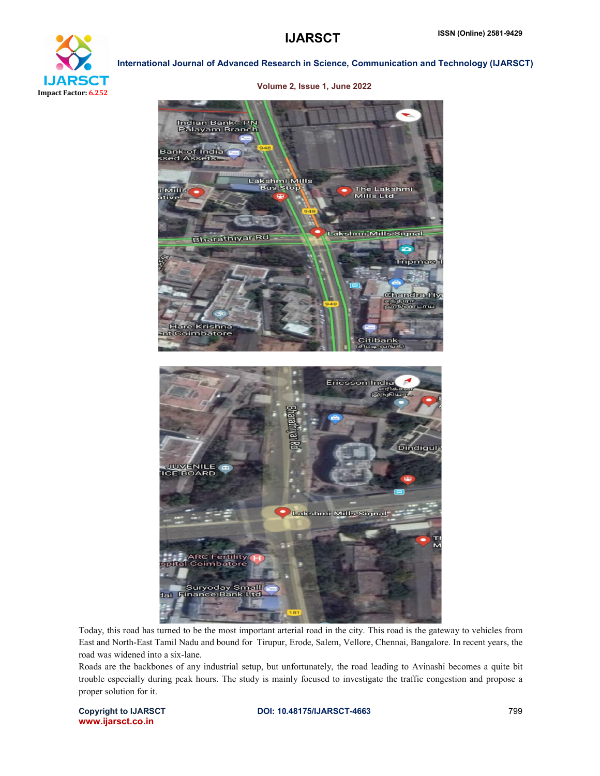



Volume 2, Issue 1, June 2022

Today, this road has turned to be the most important arterial road in the city. This road is the gateway to vehicles from East and North-East Tamil Nadu and bound for Tirupur, Erode, Salem, Vellore, Chennai, Bangalore. In recent years, the road was widened into a six-lane.

Roads are the backbones of any industrial setup, but unfortunately, the road leading to Avinashi becomes a quite bit trouble especially during peak hours. The study is mainly focused to investigate the traffic congestion and propose a proper solution for it.

www.ijarsct.co.in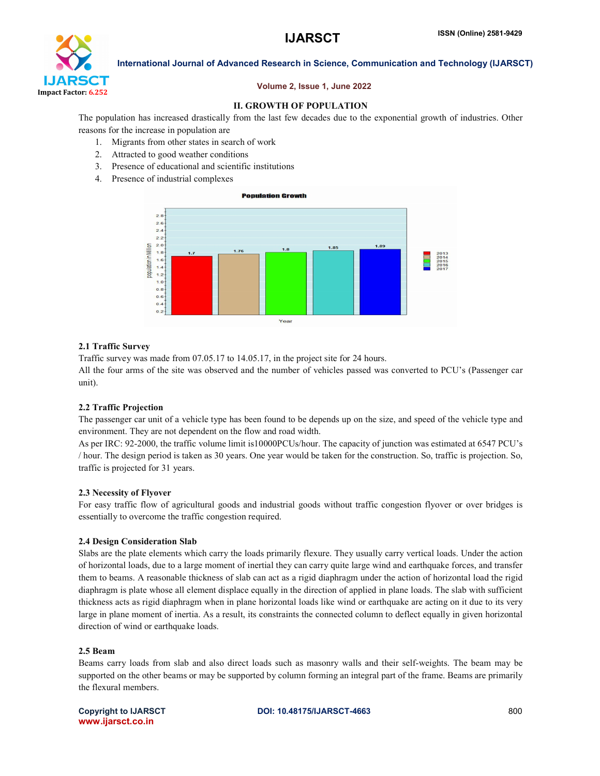

### Volume 2, Issue 1, June 2022

### II. GROWTH OF POPULATION

The population has increased drastically from the last few decades due to the exponential growth of industries. Other reasons for the increase in population are

- 1. Migrants from other states in search of work
- 2. Attracted to good weather conditions
- 3. Presence of educational and scientific institutions
- 4. Presence of industrial complexes



### 2.1 Traffic Survey

Traffic survey was made from 07.05.17 to 14.05.17, in the project site for 24 hours.

All the four arms of the site was observed and the number of vehicles passed was converted to PCU's (Passenger car unit).

### 2.2 Traffic Projection

The passenger car unit of a vehicle type has been found to be depends up on the size, and speed of the vehicle type and environment. They are not dependent on the flow and road width.

As per IRC: 92-2000, the traffic volume limit is10000PCUs/hour. The capacity of junction was estimated at 6547 PCU's / hour. The design period is taken as 30 years. One year would be taken for the construction. So, traffic is projection. So, traffic is projected for 31 years.

### 2.3 Necessity of Flyover

For easy traffic flow of agricultural goods and industrial goods without traffic congestion flyover or over bridges is essentially to overcome the traffic congestion required.

### 2.4 Design Consideration Slab

Slabs are the plate elements which carry the loads primarily flexure. They usually carry vertical loads. Under the action of horizontal loads, due to a large moment of inertial they can carry quite large wind and earthquake forces, and transfer them to beams. A reasonable thickness of slab can act as a rigid diaphragm under the action of horizontal load the rigid diaphragm is plate whose all element displace equally in the direction of applied in plane loads. The slab with sufficient thickness acts as rigid diaphragm when in plane horizontal loads like wind or earthquake are acting on it due to its very large in plane moment of inertia. As a result, its constraints the connected column to deflect equally in given horizontal direction of wind or earthquake loads.

### 2.5 Beam

Beams carry loads from slab and also direct loads such as masonry walls and their self-weights. The beam may be supported on the other beams or may be supported by column forming an integral part of the frame. Beams are primarily the flexural members.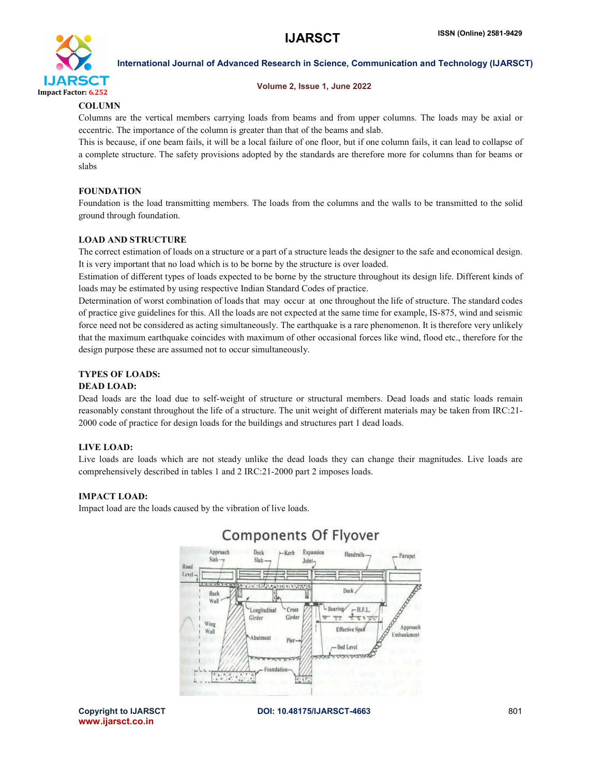

### Volume 2, Issue 1, June 2022

### COLUMN

Columns are the vertical members carrying loads from beams and from upper columns. The loads may be axial or eccentric. The importance of the column is greater than that of the beams and slab.

This is because, if one beam fails, it will be a local failure of one floor, but if one column fails, it can lead to collapse of a complete structure. The safety provisions adopted by the standards are therefore more for columns than for beams or slabs

### FOUNDATION

Foundation is the load transmitting members. The loads from the columns and the walls to be transmitted to the solid ground through foundation.

### LOAD AND STRUCTURE

The correct estimation of loads on a structure or a part of a structure leads the designer to the safe and economical design. It is very important that no load which is to be borne by the structure is over loaded.

Estimation of different types of loads expected to be borne by the structure throughout its design life. Different kinds of loads may be estimated by using respective Indian Standard Codes of practice.

Determination of worst combination of loads that may occur at one throughout the life of structure. The standard codes of practice give guidelines for this. All the loads are not expected at the same time for example, IS-875, wind and seismic force need not be considered as acting simultaneously. The earthquake is a rare phenomenon. It is therefore very unlikely that the maximum earthquake coincides with maximum of other occasional forces like wind, flood etc., therefore for the design purpose these are assumed not to occur simultaneously.

### TYPES OF LOADS:

### DEAD LOAD:

Dead loads are the load due to self-weight of structure or structural members. Dead loads and static loads remain reasonably constant throughout the life of a structure. The unit weight of different materials may be taken from IRC:21- 2000 code of practice for design loads for the buildings and structures part 1 dead loads.

### LIVE LOAD:

Live loads are loads which are not steady unlike the dead loads they can change their magnitudes. Live loads are comprehensively described in tables 1 and 2 IRC:21-2000 part 2 imposes loads.

### IMPACT LOAD:

Impact load are the loads caused by the vibration of live loads.



## **Components Of Flyover**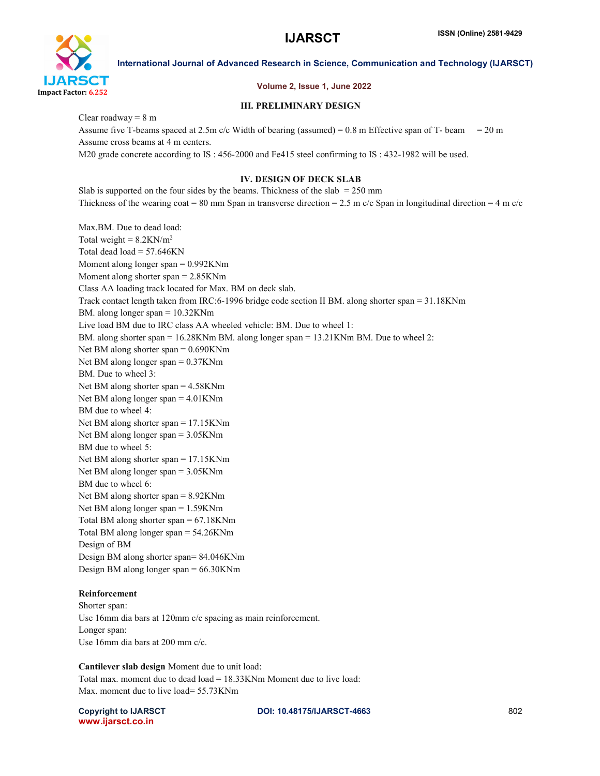

### Volume 2, Issue 1, June 2022

### III. PRELIMINARY DESIGN

Clear roadway  $= 8 \text{ m}$ 

Assume five T-beams spaced at 2.5m c/c Width of bearing (assumed) =  $0.8$  m Effective span of T- beam =  $20$  m Assume cross beams at 4 m centers.

M20 grade concrete according to IS : 456-2000 and Fe415 steel confirming to IS : 432-1982 will be used.

### IV. DESIGN OF DECK SLAB

Slab is supported on the four sides by the beams. Thickness of the slab  $= 250$  mm Thickness of the wearing coat = 80 mm Span in transverse direction = 2.5 m c/c Span in longitudinal direction = 4 m c/c

Max.BM. Due to dead load: Total weight =  $8.2$ KN/m<sup>2</sup> Total dead  $load = 57.646KN$ Moment along longer span = 0.992KNm Moment along shorter span = 2.85KNm Class AA loading track located for Max. BM on deck slab. Track contact length taken from IRC:6-1996 bridge code section II BM. along shorter span = 31.18KNm BM. along longer span = 10.32KNm Live load BM due to IRC class AA wheeled vehicle: BM. Due to wheel 1: BM. along shorter span = 16.28KNm BM. along longer span = 13.21KNm BM. Due to wheel 2: Net BM along shorter span = 0.690KNm Net BM along longer span = 0.37KNm BM. Due to wheel 3: Net BM along shorter span = 4.58KNm Net BM along longer span = 4.01KNm BM due to wheel 4: Net BM along shorter span = 17.15KNm Net BM along longer span = 3.05KNm BM due to wheel 5: Net BM along shorter span = 17.15KNm Net BM along longer span = 3.05KNm BM due to wheel 6: Net BM along shorter span = 8.92KNm Net BM along longer span = 1.59KNm Total BM along shorter span = 67.18KNm Total BM along longer span = 54.26KNm Design of BM Design BM along shorter span= 84.046KNm Design BM along longer span = 66.30KNm

### Reinforcement

Shorter span: Use 16mm dia bars at 120mm c/c spacing as main reinforcement. Longer span: Use 16mm dia bars at 200 mm c/c.

Cantilever slab design Moment due to unit load: Total max. moment due to dead load = 18.33KNm Moment due to live load: Max. moment due to live load= 55.73KNm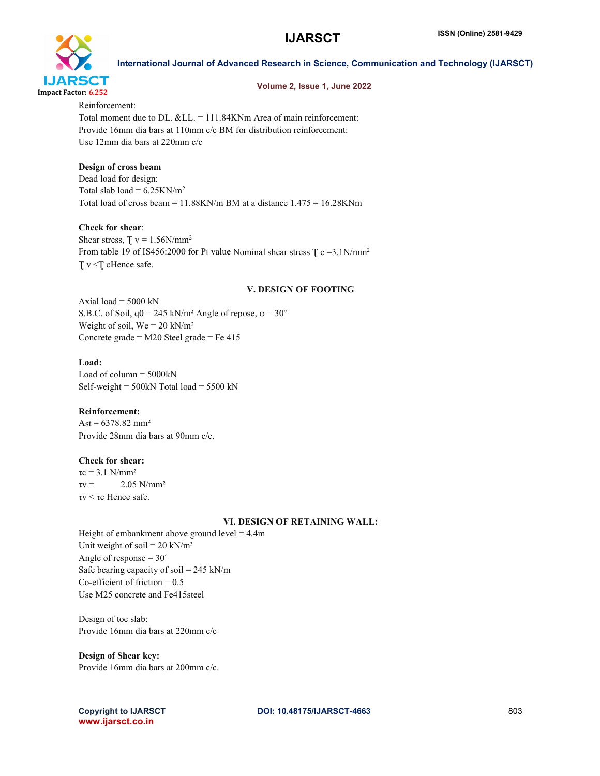

### Volume 2, Issue 1, June 2022

Reinforcement: Total moment due to DL.  $&LL = 111.84KNm$  Area of main reinforcement: Provide 16mm dia bars at 110mm c/c BM for distribution reinforcement: Use 12mm dia bars at 220mm c/c

### Design of cross beam

Dead load for design: Total slab load =  $6.25$ KN/m<sup>2</sup> Total load of cross beam =  $11.88$ KN/m BM at a distance  $1.475 = 16.28$ KNm

### Check for shear:

Shear stress,  $T v = 1.56N/mm^2$ From table 19 of IS456:2000 for Pt value Nominal shear stress  $\frac{C}{C}$  c =3.1N/mm<sup>2</sup> T v <T cHence safe.

### V. DESIGN OF FOOTING

Axial load  $=$  5000 kN S.B.C. of Soil,  $q0 = 245$  kN/m<sup>2</sup> Angle of repose,  $\varphi = 30^{\circ}$ Weight of soil,  $We = 20$  kN/m<sup>2</sup> Concrete grade = M20 Steel grade = Fe 415

### Load:

Load of column  $=$  5000 $k$ N Self-weight =  $500kN$  Total load =  $5500 kN$ 

### Reinforcement:

 $\text{Ast} = 6378.82 \text{ mm}^2$ Provide 28mm dia bars at 90mm c/c.

### Check for shear:

 $\tau c = 3.1$  N/mm<sup>2</sup>  $\tau v = 2.05 \text{ N/mm}^2$ τv < τc Hence safe.

### VI. DESIGN OF RETAINING WALL:

Height of embankment above ground  $level = 4.4m$ Unit weight of soil =  $20 \text{ kN/m}^3$ Angle of response  $= 30^\circ$ Safe bearing capacity of soil =  $245$  kN/m Co-efficient of friction  $= 0.5$ Use M25 concrete and Fe415steel

Design of toe slab: Provide 16mm dia bars at 220mm c/c

### Design of Shear key:

Provide 16mm dia bars at 200mm c/c.

www.ijarsct.co.in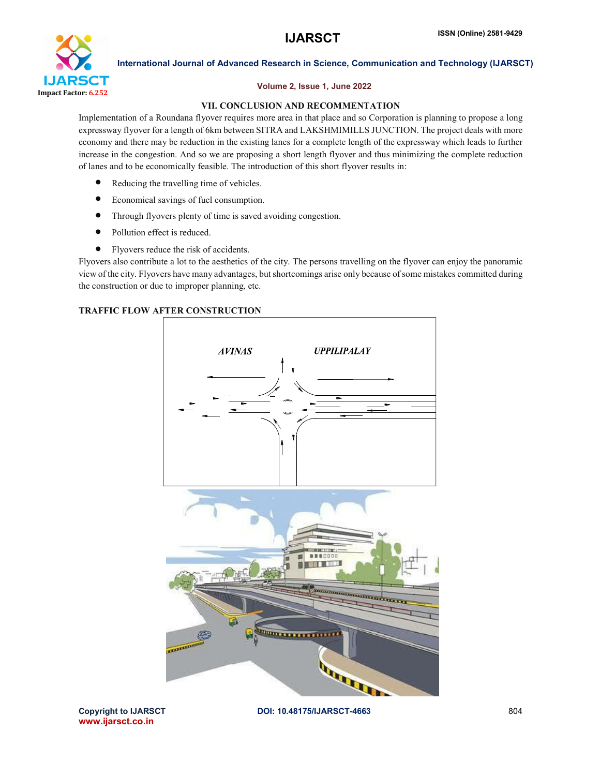

### Volume 2, Issue 1, June 2022

### VII. CONCLUSION AND RECOMMENTATION

Implementation of a Roundana flyover requires more area in that place and so Corporation is planning to propose a long expressway flyover for a length of 6km between SITRA and LAKSHMIMILLS JUNCTION. The project deals with more economy and there may be reduction in the existing lanes for a complete length of the expressway which leads to further increase in the congestion. And so we are proposing a short length flyover and thus minimizing the complete reduction of lanes and to be economically feasible. The introduction of this short flyover results in:

- Reducing the travelling time of vehicles.
- Economical savings of fuel consumption.
- Through flyovers plenty of time is saved avoiding congestion.
- Pollution effect is reduced.
- Flyovers reduce the risk of accidents.

Flyovers also contribute a lot to the aesthetics of the city. The persons travelling on the flyover can enjoy the panoramic view of the city. Flyovers have many advantages, but shortcomings arise only because of some mistakes committed during the construction or due to improper planning, etc.

### TRAFFIC FLOW AFTER CONSTRUCTION



www.ijarsct.co.in

Copyright to IJARSCT **DOI: 10.48175/IJARSCT-4663** 804